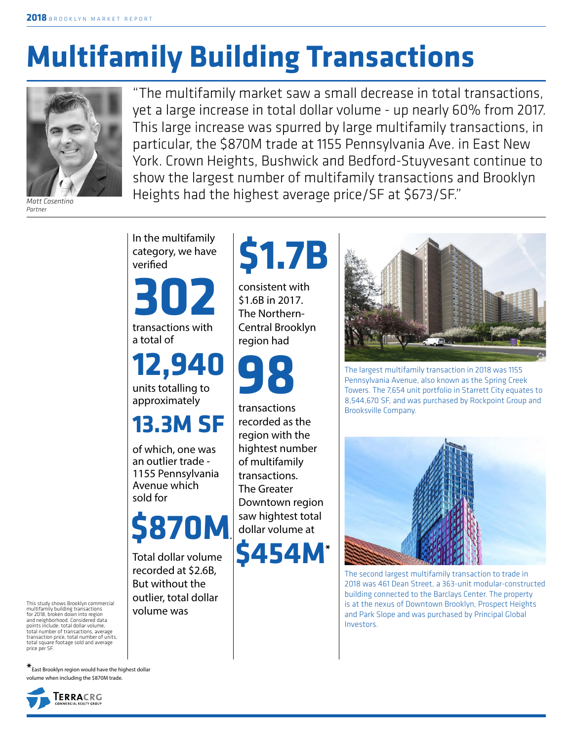# **Multifamily Building Transactions**



*Matt Cosentino Partner*

"The multifamily market saw a small decrease in total transactions, yet a large increase in total dollar volume - up nearly 60% from 2017. This large increase was spurred by large multifamily transactions, in particular, the \$870M trade at 1155 Pennsylvania Ave. in East New York. Crown Heights, Bushwick and Bedford-Stuyvesant continue to show the largest number of multifamily transactions and Brooklyn Heights had the highest average price/SF at \$673/SF."

In the multifamily category, we have verified

transactions with a total of **302**

**12,940**

units totalling to approximately

**13.3M SF**

of which, one was an outlier trade - 1155 Pennsylvania Avenue which sold for



Total dollar volume recorded at \$2.6B, But without the outlier, total dollar volume was



consistent with \$1.6B in 2017. The Northern-Central Brooklyn region had



transactions recorded as the region with the hightest number of multifamily transactions. The Greater Downtown region saw hightest total dollar volume at

**\$454M\***



The largest multifamily transaction in 2018 was 1155 Pennsylvania Avenue, also known as the Spring Creek Towers. The 7,654 unit portfolio in Starrett City equates to 8,544,670 SF, and was purchased by Rockpoint Group and Brooksville Company.



The second largest multifamily transaction to trade in 2018 was 461 Dean Street, a 363-unit modular-constructed building connected to the Barclays Center. The property is at the nexus of Downtown Brooklyn, Prospect Heights and Park Slope and was purchased by Principal Global Investors.

This study shows Brooklyn commercial multifamily building transactions for 2018, broken down into region and neighborhood. Considered data points include: total dollar volume, total number of transactions, average transaction price, total number of units, total square footage sold and average price per SF.

**\***East Brooklyn region would have the highest dollar volume when including the \$870M trade.

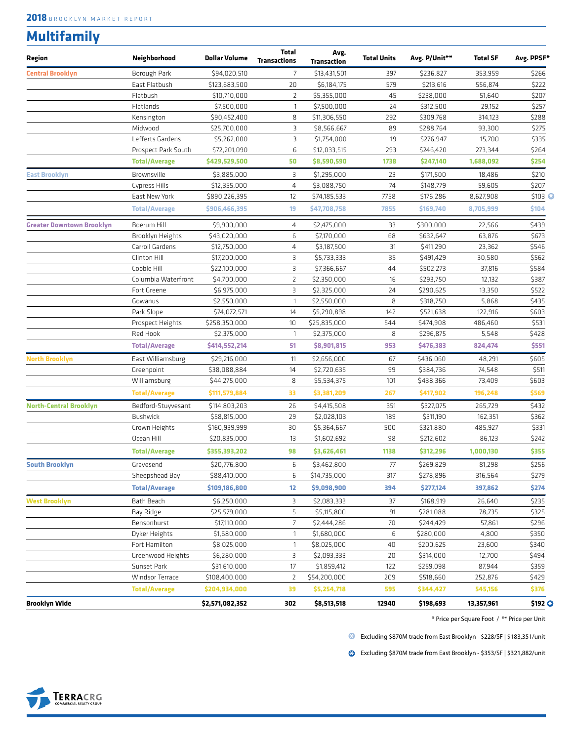### **Multifamily**

| Region                           | Neighborhood         | <b>Dollar Volume</b> | <b>Total</b><br><b>Transactions</b> | Avg.<br>Transaction | <b>Total Units</b> | Avg. P/Unit** | <b>Total SF</b> | Avg. PPSF* |
|----------------------------------|----------------------|----------------------|-------------------------------------|---------------------|--------------------|---------------|-----------------|------------|
| <b>Central Brooklyn</b>          | Borough Park         | \$94,020,510         | $\overline{7}$                      | \$13,431,501        | 397                | \$236,827     | 353,959         | \$266      |
|                                  | East Flatbush        | \$123,683,500        | 20                                  | \$6,184,175         | 579                | \$213,616     | 556,874         | \$222      |
|                                  | Flatbush             | \$10,710,000         | 2                                   | \$5,355,000         | 45                 | \$238,000     | 51,640          | \$207      |
|                                  | Flatlands            | \$7,500,000          | 1                                   | \$7,500,000         | 24                 | \$312,500     | 29,152          | \$257      |
|                                  | Kensington           | \$90,452,400         | 8                                   | \$11,306,550        | 292                | \$309,768     | 314,123         | \$288      |
|                                  | Midwood              | \$25,700,000         | 3                                   | \$8,566,667         | 89                 | \$288,764     | 93,300          | \$275      |
|                                  | Lefferts Gardens     | \$5,262,000          | 3                                   | \$1,754,000         | 19                 | \$276,947     | 15,700          | \$335      |
|                                  | Prospect Park South  | \$72,201,090         | 6                                   | \$12,033,515        | 293                | \$246,420     | 273,344         | \$264      |
|                                  | <b>Total/Average</b> | \$429,529,500        | 50                                  | \$8,590,590         | 1738               | \$247,140     | 1,688,092       | \$254      |
| <b>East Brooklyn</b>             | Brownsville          | \$3,885,000          | З                                   | \$1,295,000         | 23                 | \$171,500     | 18,486          | \$210      |
|                                  | Cypress Hills        | \$12,355,000         | 4                                   | \$3,088,750         | 74                 | \$148,779     | 59,605          | \$207      |
|                                  | East New York        | \$890,226,395        | $12 \overline{ }$                   | \$74,185,533        | 7758               | \$176,286     | 8,627,908       | \$103 C    |
|                                  | <b>Total/Average</b> | \$906,466,395        | 19                                  | \$47,708,758        | 7855               | \$169,740     | 8,705,999       | \$104      |
| <b>Greater Downtown Brooklyn</b> | Boerum Hill          | \$9,900,000          | 4                                   | \$2,475,000         | 33                 | \$300,000     | 22,566          | \$439      |
|                                  | Brooklyn Heights     | \$43,020,000         | 6                                   | \$7,170,000         | 68                 | \$632,647     | 63,876          | \$673      |
|                                  | Carroll Gardens      | \$12,750,000         | 4                                   | \$3,187,500         | 31                 | \$411,290     | 23,362          | \$546      |
|                                  | Clinton Hill         | \$17,200,000         | 3                                   | \$5,733,333         | 35                 | \$491,429     | 30,580          | \$562      |
|                                  | Cobble Hill          | \$22,100,000         | 3                                   | \$7,366,667         | 44                 | \$502,273     | 37,816          | \$584      |
|                                  | Columbia Waterfront  | \$4,700,000          | $\overline{2}$                      | \$2,350,000         | 16                 | \$293,750     | 12,132          | \$387      |
|                                  | Fort Greene          | \$6,975,000          | З                                   | \$2,325,000         | 24                 | \$290,625     | 13,350          | \$522      |
|                                  | Gowanus              | \$2,550,000          | $\mathbf{1}$                        | \$2,550,000         | 8                  | \$318,750     | 5,868           | \$435      |
|                                  | Park Slope           | \$74,072,571         | 14                                  | \$5,290,898         | 142                | \$521,638     | 122,916         | \$603      |
|                                  | Prospect Heights     | \$258,350,000        | 10                                  | \$25,835,000        | 544                | \$474,908     | 486,460         | \$531      |
|                                  | Red Hook             | \$2,375,000          | $\mathbf{1}$                        | \$2,375,000         | 8                  | \$296,875     | 5,548           | \$428      |
|                                  | <b>Total/Average</b> | \$414,552,214        | 51                                  | \$8,901,815         | 953                | \$476,383     | 824,474         | \$551      |
| North Brooklyn                   | East Williamsburg    | \$29,216,000         | 11                                  | \$2,656,000         | 67                 | \$436,060     | 48,291          | \$605      |
|                                  | Greenpoint           | \$38,088,884         | 14                                  | \$2,720,635         | 99                 | \$384,736     | 74,548          | \$511      |
|                                  | Williamsburg         | \$44,275,000         | 8                                   | \$5,534,375         | 101                | \$438,366     | 73,409          | \$603      |
|                                  | <b>Total/Average</b> | \$111,579,884        | 33                                  | \$3,381,209         | 267                | \$417,902     | 196,248         | \$569      |
| <b>North-Central Brooklyn</b>    | Bedford-Stuyvesant   | \$114,803,203        | 26                                  | \$4,415,508         | 351                | \$327,075     | 265,729         | \$432      |
|                                  | <b>Bushwick</b>      | \$58,815,000         | 29                                  | \$2,028,103         | 189                | \$311,190     | 162,351         | \$362      |
|                                  | Crown Heights        | \$160,939,999        | 30                                  | \$5,364,667         | 500                | \$321,880     | 485,927         | \$331      |
|                                  | Ocean Hill           | \$20,835,000         | 13                                  | \$1,602,692         | 98                 | \$212,602     | 86,123          | \$242      |
|                                  | <b>Total/Average</b> | \$355,393,202        | 98                                  | \$3,626,461         | 1138               | \$312,296     | 1,000,130       | \$355      |
| <b>South Brooklyn</b>            | Gravesend            | \$20,776,800         | 6                                   | \$3,462,800         | 77                 | \$269,829     | 81,298          | \$256      |
|                                  | Sheepshead Bay       | \$88,410,000         | 6                                   | \$14,735,000        | 317                | \$278,896     | 316,564         | \$279      |
|                                  | <b>Total/Average</b> | \$109,186,800        | 12                                  | \$9,098,900         | 394                | \$277,124     | 397,862         | \$274      |
| <b>West Brooklyn</b>             | Bath Beach           | \$6,250,000          | 3                                   | \$2,083,333         | 37                 | \$168,919     | 26,640          | \$235      |
|                                  | Bay Ridge            | \$25,579,000         | 5                                   | \$5,115,800         | 91                 | \$281,088     | 78,735          | \$325      |
|                                  | Bensonhurst          | \$17,110,000         | $\overline{7}$                      | \$2,444,286         | 70                 | \$244,429     | 57,861          | \$296      |
|                                  | Dyker Heights        | \$1,680,000          | $\mathbf{1}$                        | \$1,680,000         | 6                  | \$280,000     | 4,800           | \$350      |
|                                  | Fort Hamilton        | \$8,025,000          | $\mathbf{1}$                        | \$8,025,000         | 40                 | \$200,625     | 23,600          | \$340      |
|                                  | Greenwood Heights    | \$6,280,000          | 3                                   | \$2,093,333         | 20                 | \$314,000     | 12,700          | \$494      |
|                                  | Sunset Park          | \$31,610,000         | 17                                  | \$1,859,412         | 122                | \$259,098     | 87,944          | \$359      |
|                                  | Windsor Terrace      | \$108,400,000        | 2                                   | \$54,200,000        | 209                | \$518,660     | 252,876         | \$429      |
|                                  | <b>Total/Average</b> | \$204,934,000        | 39                                  | \$5,254,718         | 595                | \$344,427     | 545,156         | \$376      |
| <b>Brooklyn Wide</b>             |                      | \$2,571,082,352      | 302                                 | \$8,513,518         | 12940              | \$198,693     | 13,357,961      | \$192 ©    |

\* Price per Square Foot / \*\* Price per Unit

Excluding \$870M trade from East Brooklyn - \$228/SF | \$183,351/unit **\***

Excluding \$870M trade from East Brooklyn - \$353/SF | \$321,882/unit **\***